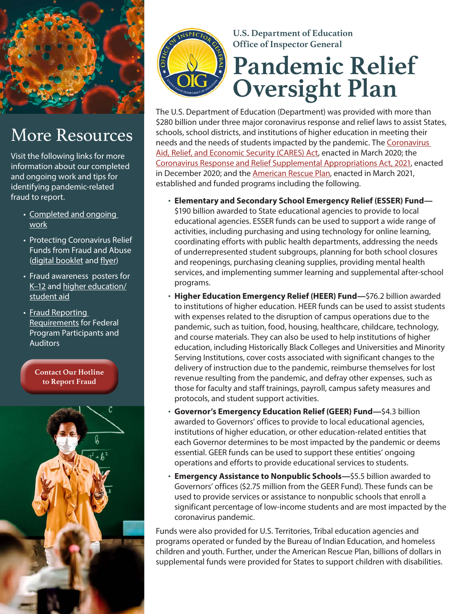

## More Resources

Visit the following links for more information about our completed and ongoing work and tips for identifying pandemic-related fraud to report.

- [Completed and ongoing](https://www2.ed.gov/about/offices/list/oig/disasterrecovery.html#table1)  [work](https://www2.ed.gov/about/offices/list/oig/disasterrecovery.html#table1)
- Protecting Coronavirus Relief Funds from Fraud and Abuse ([digital booklet](https://www2.ed.gov/about/offices/list/oig/edoigccoronavirusfundsfromfaudandabuse.pdf) and f[lyer](https://www2.ed.gov/about/offices/list/oig/edoigworktogetherflyer.pdf))
- Fraud awareness posters for [K–12](https://www2.ed.gov/about/offices/list/oig/oig006caresactposter01.pdf) and [higher education/](https://www2.ed.gov/about/offices/list/oig/oig006caresactposter02.pdf) [student aid](https://www2.ed.gov/about/offices/list/oig/oig006caresactposter02.pdf)
- [Fraud Reporting](https://www2.ed.gov/about/offices/list/oig/misc/fraudreportingrequirements.pdf)  [Requirements](https://www2.ed.gov/about/offices/list/oig/misc/fraudreportingrequirements.pdf) for Federal Program Participants and Auditors

**[Contact Our Hotline](https://www2.ed.gov/about/offices/list/oig/hotline.html)  to Report Fraud**





#### **U.S. Department of Education Office of Inspector General**

# **Pandemic Relief Oversight Plan**

The U.S. Department of Education (Department) was provided with more than \$280 billion under three major coronavirus response and relief laws to assist States, schools, school districts, and institutions of higher education in meeting their needs and the needs of students impacted by the pandemic. The [Coronavirus](https://www.congress.gov/116/plaws/publ136/PLAW-116publ136.pdf)  [Aid, Relief, and Economic Security \(CARES\) Act](https://www.congress.gov/116/plaws/publ136/PLAW-116publ136.pdf), enacted in March 2020; the [Coronavirus Response and Relief Supplemental Appropriations](https://www.congress.gov/bill/116th-congress/house-bill/133/text) Act, 2021, enacted in December 2020; and the [American Rescue Plan,](https://www.congress.gov/bill/117th-congress/house-bill/1319/text) enacted in March 2021, established and funded programs including the following.

• **Elementary and Secondary School Emergency Relief (ESSER) Fund—** \$190 billion awarded to State educational agencies to provide to local educational agencies. ESSER funds can be used to support a wide range of

activities, including purchasing and using technology for online learning, coordinating efforts with public health departments, addressing the needs of underrepresented student subgroups, planning for both school closures and reopenings, purchasing cleaning supplies, providing mental health services, and implementing summer learning and supplemental after-school programs.

- **Higher Education Emergency Relief (HEER) Fund—**\$76.2 billion awarded to institutions of higher education. HEER funds can be used to assist students with expenses related to the disruption of campus operations due to the pandemic, such as tuition, food, housing, healthcare, childcare, technology, and course materials. They can also be used to help institutions of higher education, including Historically Black Colleges and Universities and Minority Serving Institutions, cover costs associated with significant changes to the delivery of instruction due to the pandemic, reimburse themselves for lost revenue resulting from the pandemic, and defray other expenses, such as those for faculty and staff trainings, payroll, campus safety measures and protocols, and student support activities.
- **Governor's Emergency Education Relief (GEER) Fund—**\$4.3 billion awarded to Governors' offices to provide to local educational agencies, institutions of higher education, or other education-related entities that each Governor determines to be most impacted by the pandemic or deems essential. GEER funds can be used to support these entities' ongoing operations and efforts to provide educational services to students.
- **Emergency Assistance to Nonpublic Schools—**\$5.5 billion awarded to Governors' offices (\$2.75 million from the GEER Fund). These funds can be used to provide services or assistance to nonpublic schools that enroll a significant percentage of low-income students and are most impacted by the coronavirus pandemic.

Funds were also provided for U.S. Territories, Tribal education agencies and programs operated or funded by the Bureau of Indian Education, and homeless children and youth. Further, under the American Rescue Plan, billions of dollars in supplemental funds were provided for States to support children with disabilities.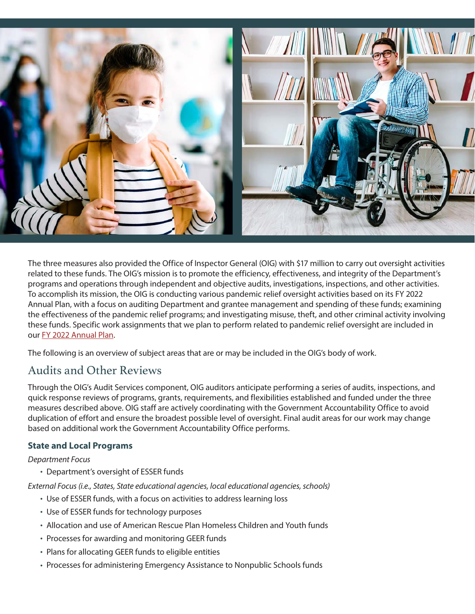

The three measures also provided the Office of Inspector General (OIG) with \$17 million to carry out oversight activities related to these funds. The OIG's mission is to promote the efficiency, effectiveness, and integrity of the Department's programs and operations through independent and objective audits, investigations, inspections, and other activities. To accomplish its mission, the OIG is conducting various pandemic relief oversight activities based on its FY 2022 Annual Plan, with a focus on auditing Department and grantee management and spending of these funds; examining the effectiveness of the pandemic relief programs; and investigating misuse, theft, and other criminal activity involving these funds. Specific work assignments that we plan to perform related to pandemic relief oversight are included in our [FY 2022 Annual Plan](https://www2.ed.gov/about/offices/list/oig/workplan.html).

The following is an overview of subject areas that are or may be included in the OIG's body of work.

## Audits and Other Reviews

Through the OIG's Audit Services component, OIG auditors anticipate performing a series of audits, inspections, and quick response reviews of programs, grants, requirements, and flexibilities established and funded under the three measures described above. OIG staff are actively coordinating with the Government Accountability Office to avoid duplication of effort and ensure the broadest possible level of oversight. Final audit areas for our work may change based on additional work the Government Accountability Office performs.

#### **State and Local Programs**

Department Focus

• Department's oversight of ESSER funds

External Focus (i.e., States, State educational agencies, local educational agencies, schools)

- Use of ESSER funds, with a focus on activities to address learning loss
- Use of ESSER funds for technology purposes
- Allocation and use of American Rescue Plan Homeless Children and Youth funds
- Processes for awarding and monitoring GEER funds
- Plans for allocating GEER funds to eligible entities
- Processes for administering Emergency Assistance to Nonpublic Schools funds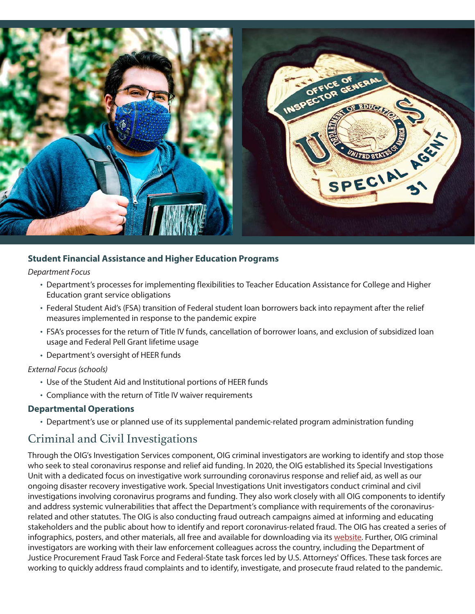

#### **Student Financial Assistance and Higher Education Programs**

#### Department Focus

- Department's processes for implementing flexibilities to Teacher Education Assistance for College and Higher Education grant service obligations
- Federal Student Aid's (FSA) transition of Federal student loan borrowers back into repayment after the relief measures implemented in response to the pandemic expire
- FSA's processes for the return of Title IV funds, cancellation of borrower loans, and exclusion of subsidized loan usage and Federal Pell Grant lifetime usage
- Department's oversight of HEER funds

#### External Focus (schools)

- Use of the Student Aid and Institutional portions of HEER funds
- Compliance with the return of Title IV waiver requirements

#### **Departmental Operations**

• Department's use or planned use of its supplemental pandemic-related program administration funding

### Criminal and Civil Investigations

Through the OIG's Investigation Services component, OIG criminal investigators are working to identify and stop those who seek to steal coronavirus response and relief aid funding. In 2020, the OIG established its Special Investigations Unit with a dedicated focus on investigative work surrounding coronavirus response and relief aid, as well as our ongoing disaster recovery investigative work. Special Investigations Unit investigators conduct criminal and civil investigations involving coronavirus programs and funding. They also work closely with all OIG components to identify and address systemic vulnerabilities that affect the Department's compliance with requirements of the coronavirusrelated and other statutes. The OIG is also conducting fraud outreach campaigns aimed at informing and educating stakeholders and the public about how to identify and report coronavirus-related fraud. The OIG has created a series of infographics, posters, and other materials, all free and available for downloading via its [website](https://www2.ed.gov/about/offices/list/oig/disasterrecovery.html). Further, OIG criminal investigators are working with their law enforcement colleagues across the country, including the Department of Justice Procurement Fraud Task Force and Federal-State task forces led by U.S. Attorneys' Offices. These task forces are working to quickly address fraud complaints and to identify, investigate, and prosecute fraud related to the pandemic.